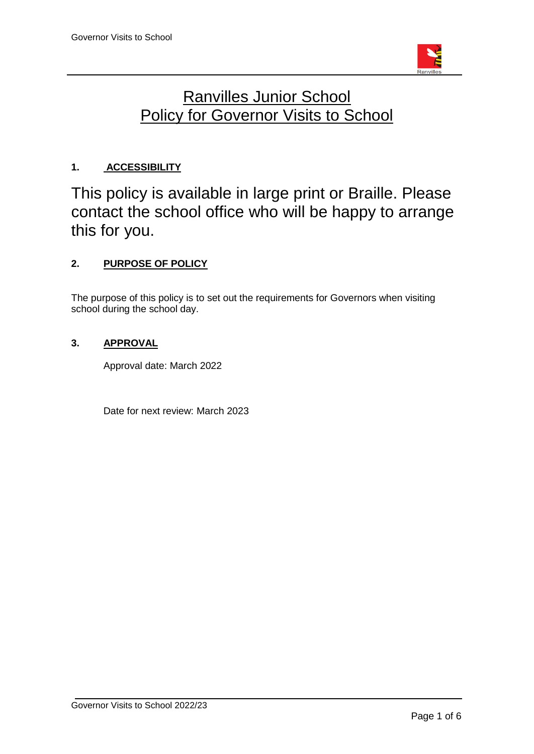

# Ranvilles Junior School **Policy for Governor Visits to School**

# **1. ACCESSIBILITY**

This policy is available in large print or Braille. Please contact the school office who will be happy to arrange this for you.

# **2. PURPOSE OF POLICY**

The purpose of this policy is to set out the requirements for Governors when visiting school during the school day.

# **3. APPROVAL**

Approval date: March 2022

Date for next review: March 2023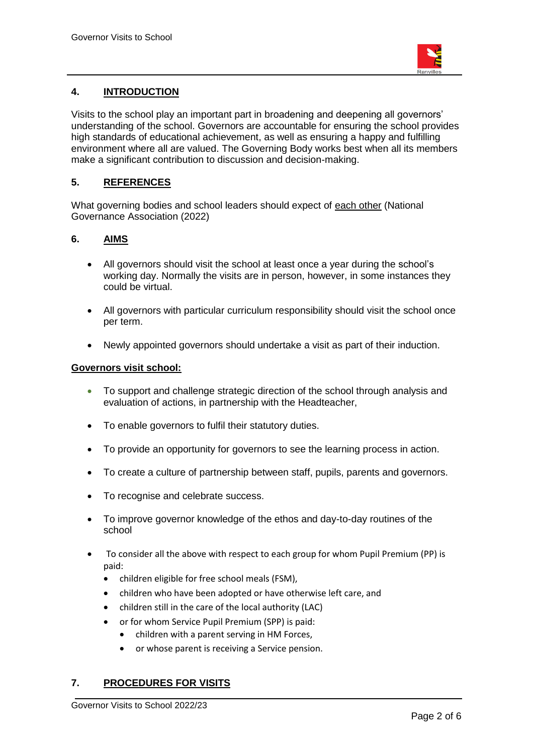

# **4. INTRODUCTION**

Visits to the school play an important part in broadening and deepening all governors' understanding of the school. Governors are accountable for ensuring the school provides high standards of educational achievement, as well as ensuring a happy and fulfilling environment where all are valued. The Governing Body works best when all its members make a significant contribution to discussion and decision-making.

## **5. REFERENCES**

What governing bodies and school leaders should expect of [each other](https://www.nga.org.uk/Knowledge-Centre/Structure,-roles-responsibilities/Roles-and-responsibilities/What-governing-boards-and-school-leaders-should-expect-from-each-other.aspx) (National Governance Association (2022)

## **6. AIMS**

- All governors should visit the school at least once a year during the school's working day. Normally the visits are in person, however, in some instances they could be virtual.
- All governors with particular curriculum responsibility should visit the school once per term.
- Newly appointed governors should undertake a visit as part of their induction.

#### **Governors visit school:**

- To support and challenge strategic direction of the school through analysis and evaluation of actions, in partnership with the Headteacher,
- To enable governors to fulfil their statutory duties.
- To provide an opportunity for governors to see the learning process in action.
- To create a culture of partnership between staff, pupils, parents and governors.
- To recognise and celebrate success.
- To improve governor knowledge of the ethos and day-to-day routines of the school
- To consider all the above with respect to each group for whom Pupil Premium (PP) is paid:
	- children eligible for free school meals (FSM),
	- children who have been adopted or have otherwise left care, and
	- children still in the care of the local authority (LAC)
	- or for whom Service Pupil Premium (SPP) is paid:
		- children with a parent serving in HM Forces,
		- or whose parent is receiving a Service pension.

## **7. PROCEDURES FOR VISITS**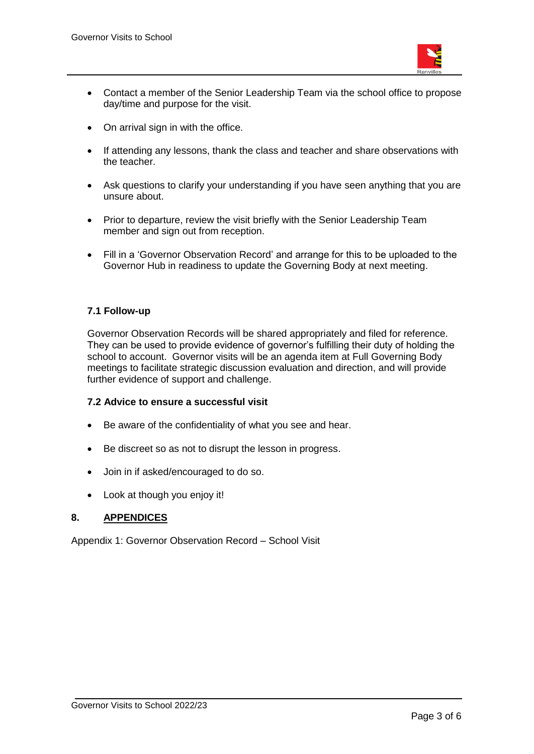

- Contact a member of the Senior Leadership Team via the school office to propose day/time and purpose for the visit.
- On arrival sign in with the office.
- If attending any lessons, thank the class and teacher and share observations with the teacher.
- Ask questions to clarify your understanding if you have seen anything that you are unsure about.
- Prior to departure, review the visit briefly with the Senior Leadership Team member and sign out from reception.
- Fill in a 'Governor Observation Record' and arrange for this to be uploaded to the Governor Hub in readiness to update the Governing Body at next meeting.

#### **7.1 Follow-up**

Governor Observation Records will be shared appropriately and filed for reference. They can be used to provide evidence of governor's fulfilling their duty of holding the school to account. Governor visits will be an agenda item at Full Governing Body meetings to facilitate strategic discussion evaluation and direction, and will provide further evidence of support and challenge.

#### **7.2 Advice to ensure a successful visit**

- Be aware of the confidentiality of what you see and hear.
- Be discreet so as not to disrupt the lesson in progress.
- Join in if asked/encouraged to do so.
- Look at though you enjoy it!

#### **8. APPENDICES**

Appendix 1: Governor Observation Record – School Visit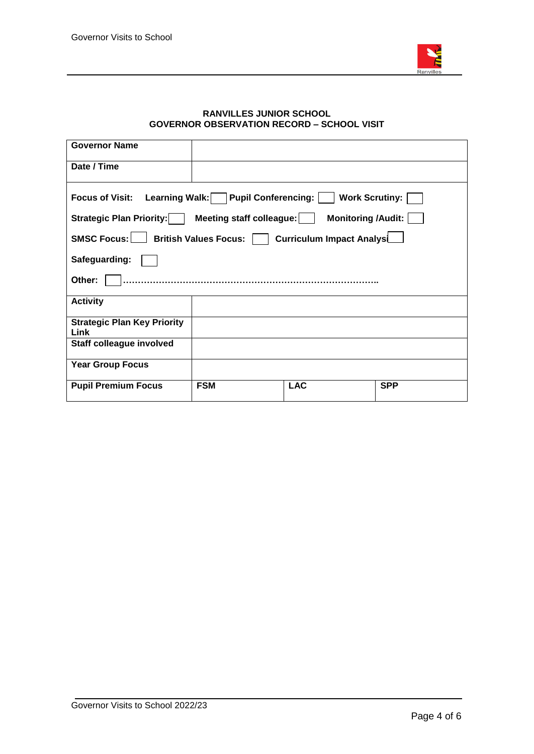

#### **RANVILLES JUNIOR SCHOOL GOVERNOR OBSERVATION RECORD – SCHOOL VISIT**

| <b>Governor Name</b>                                                                                   |            |            |            |
|--------------------------------------------------------------------------------------------------------|------------|------------|------------|
| Date / Time                                                                                            |            |            |            |
| <b>Learning Walk:</b><br><b>Pupil Conferencing:</b><br><b>Work Scrutiny:</b><br><b>Focus of Visit:</b> |            |            |            |
| <b>Monitoring /Audit:</b><br><b>Strategic Plan Priority:</b><br>Meeting staff colleague:               |            |            |            |
| SMSC Focus:  <br><b>Curriculum Impact Analysl</b><br><b>British Values Focus:</b>                      |            |            |            |
| Safeguarding:                                                                                          |            |            |            |
| Other:                                                                                                 |            |            |            |
| <b>Activity</b>                                                                                        |            |            |            |
| <b>Strategic Plan Key Priority</b><br>Link                                                             |            |            |            |
| <b>Staff colleague involved</b>                                                                        |            |            |            |
| <b>Year Group Focus</b>                                                                                |            |            |            |
| <b>Pupil Premium Focus</b>                                                                             | <b>FSM</b> | <b>LAC</b> | <b>SPP</b> |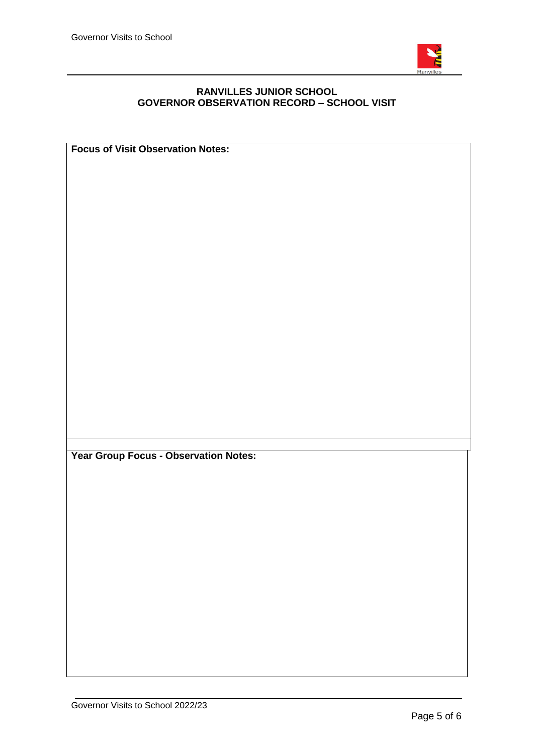

#### **RANVILLES JUNIOR SCHOOL GOVERNOR OBSERVATION RECORD – SCHOOL VISIT**

**Focus of Visit Observation Notes: Year Group Focus - Observation Notes:**